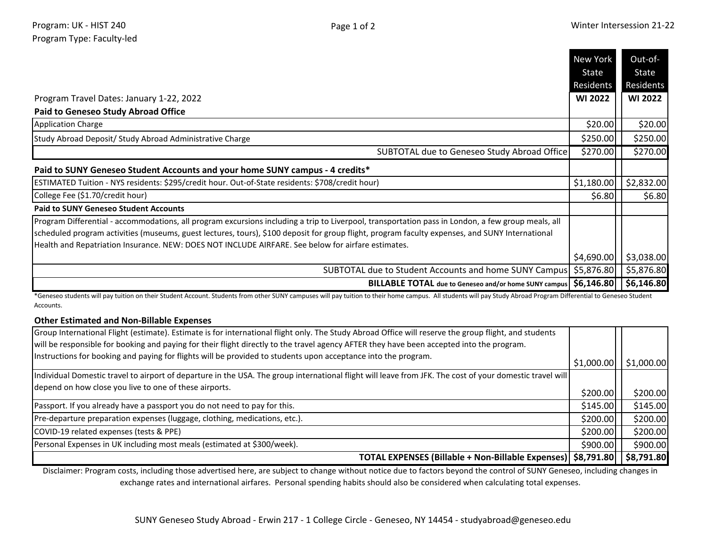|                                                                                                                                                    | New York       | Out-of-        |
|----------------------------------------------------------------------------------------------------------------------------------------------------|----------------|----------------|
|                                                                                                                                                    | State          | State          |
|                                                                                                                                                    | Residents      | Residents      |
| Program Travel Dates: January 1-22, 2022                                                                                                           | <b>WI 2022</b> | <b>WI 2022</b> |
| <b>Paid to Geneseo Study Abroad Office</b>                                                                                                         |                |                |
| <b>Application Charge</b>                                                                                                                          | \$20.00        | \$20.00        |
| Study Abroad Deposit/ Study Abroad Administrative Charge                                                                                           | \$250.00       | \$250.00       |
| SUBTOTAL due to Geneseo Study Abroad Office                                                                                                        | \$270.00       | \$270.00       |
| Paid to SUNY Geneseo Student Accounts and your home SUNY campus - 4 credits*                                                                       |                |                |
| ESTIMATED Tuition - NYS residents: \$295/credit hour. Out-of-State residents: \$708/credit hour)                                                   | \$1,180.00     | \$2,832.00     |
| College Fee (\$1.70/credit hour)                                                                                                                   | \$6.80         | \$6.80         |
| <b>Paid to SUNY Geneseo Student Accounts</b>                                                                                                       |                |                |
| Program Differential - accommodations, all program excursions including a trip to Liverpool, transportation pass in London, a few group meals, all |                |                |
| scheduled program activities (museums, guest lectures, tours), \$100 deposit for group flight, program faculty expenses, and SUNY International    |                |                |
| Health and Repatriation Insurance. NEW: DOES NOT INCLUDE AIRFARE. See below for airfare estimates.                                                 |                |                |
|                                                                                                                                                    | \$4,690.00     | \$3,038.00     |
| SUBTOTAL due to Student Accounts and home SUNY Campus                                                                                              | \$5,876.80     | \$5,876.80     |
| BILLABLE TOTAL due to Geneseo and/or home SUNY campus   \$6,146.80                                                                                 |                | \$6,146.80     |

\*Geneseo students will pay tuition on their Student Account. Students from other SUNY campuses will pay tuition to their home campus. All students will pay Study Abroad Program Differential to Geneseo Student Accounts.

## **Other Estimated and Non-Billable Expenses**

| Group International Flight (estimate). Estimate is for international flight only. The Study Abroad Office will reserve the group flight, and students    |            |            |
|----------------------------------------------------------------------------------------------------------------------------------------------------------|------------|------------|
| will be responsible for booking and paying for their flight directly to the travel agency AFTER they have been accepted into the program.                |            |            |
| Instructions for booking and paying for flights will be provided to students upon acceptance into the program.                                           | \$1,000.00 | \$1,000.00 |
| Individual Domestic travel to airport of departure in the USA. The group international flight will leave from JFK. The cost of your domestic travel will |            |            |
| depend on how close you live to one of these airports.                                                                                                   | \$200.00]  | \$200.00   |
| Passport. If you already have a passport you do not need to pay for this.                                                                                | \$145.00   | \$145.00   |
| Pre-departure preparation expenses (luggage, clothing, medications, etc.).                                                                               | \$200.00   | \$200.00]  |
| COVID-19 related expenses (tests & PPE)                                                                                                                  | \$200.00   | \$200.00   |
| Personal Expenses in UK including most meals (estimated at \$300/week).                                                                                  | \$900.00   | \$900.00   |
| TOTAL EXPENSES (Billable + Non-Billable Expenses)   \$8,791.80                                                                                           |            | \$8,791.80 |

Disclaimer: Program costs, including those advertised here, are subject to change without notice due to factors beyond the control of SUNY Geneseo, including changes in exchange rates and international airfares. Personal spending habits should also be considered when calculating total expenses.